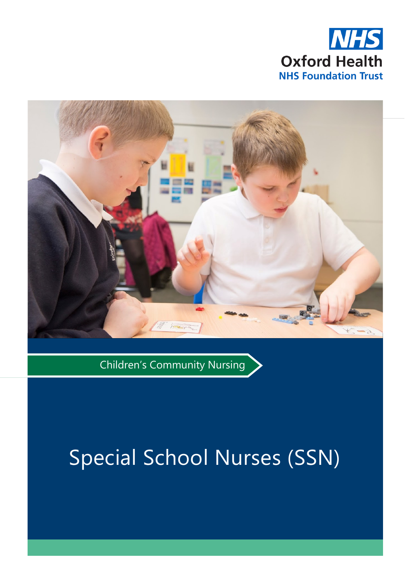



Children's Community Nursing

# Special School Nurses (SSN)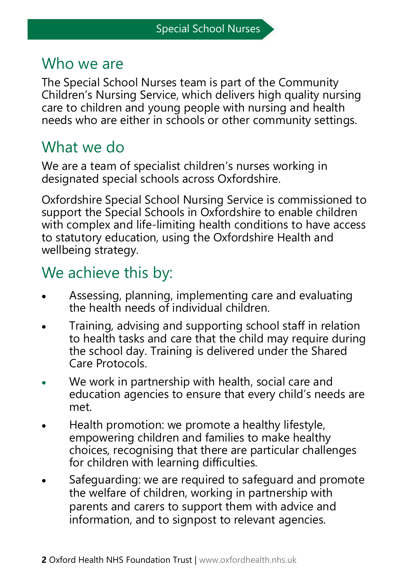#### Who we are

The Special School Nurses team is part of the Community Children's Nursing Service, which delivers high quality nursing care to children and young people with nursing and health needs who are either in schools or other community settings.

#### What we do

We are a team of specialist children's nurses working in designated special schools across Oxfordshire.

Oxfordshire Special School Nursing Service is commissioned to support the Special Schools in Oxfordshire to enable children with complex and life-limiting health conditions to have access to statutory education, using the Oxfordshire Health and wellbeing strategy.

## We achieve this by:

- Assessing, planning, implementing care and evaluating the health needs of individual children.
- Training, advising and supporting school staff in relation to health tasks and care that the child may require during the school day. Training is delivered under the Shared Care Protocols.
- We work in partnership with health, social care and education agencies to ensure that every child's needs are met.
- Health promotion: we promote a healthy lifestyle, empowering children and families to make healthy choices, recognising that there are particular challenges for children with learning difficulties.
- Safeguarding: we are required to safeguard and promote the welfare of children, working in partnership with parents and carers to support them with advice and information, and to signpost to relevant agencies.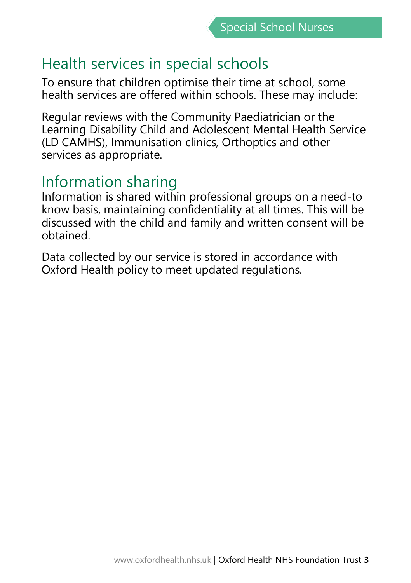## Health services in special schools

To ensure that children optimise their time at school, some health services are offered within schools. These may include:

Regular reviews with the Community Paediatrician or the Learning Disability Child and Adolescent Mental Health Service (LD CAMHS), Immunisation clinics, Orthoptics and other services as appropriate.

#### Information sharing

Information is shared within professional groups on a need-to know basis, maintaining confidentiality at all times. This will be discussed with the child and family and written consent will be obtained.

Data collected by our service is stored in accordance with Oxford Health policy to meet updated regulations.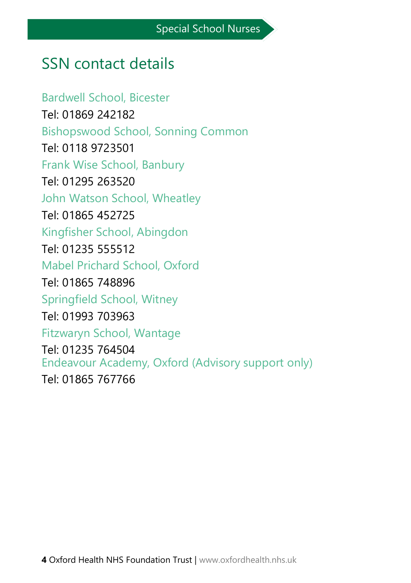# SSN contact details

Bardwell School, Bicester Tel: 01869 242182 Bishopswood School, Sonning Common Tel: 0118 9723501 Frank Wise School, Banbury Tel: 01295 263520 John Watson School, Wheatley Tel: 01865 452725 Kingfisher School, Abingdon Tel: 01235 555512 Mabel Prichard School, Oxford Tel: 01865 748896 Springfield School, Witney Tel: 01993 703963 Fitzwaryn School, Wantage Tel: 01235 764504 Endeavour Academy, Oxford (Advisory support only) Tel: 01865 767766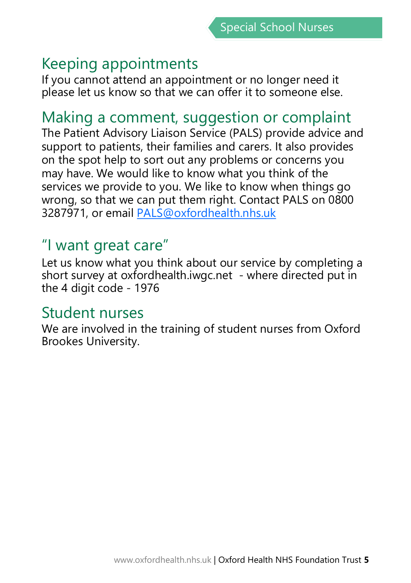## Keeping appointments

If you cannot attend an appointment or no longer need it please let us know so that we can offer it to someone else.

#### Making a comment, suggestion or complaint

The Patient Advisory Liaison Service (PALS) provide advice and support to patients, their families and carers. It also provides on the spot help to sort out any problems or concerns you may have. We would like to know what you think of the services we provide to you. We like to know when things go wrong, so that we can put them right. Contact PALS on 0800 3287971, or email PALS@oxfordhealth.nhs.uk

# "I want great care"

Let us know what you think about our service by completing a short survey at oxfordhealth.iwgc.net - where directed put in the 4 digit code - 1976

#### Student nurses

We are involved in the training of student nurses from Oxford Brookes University.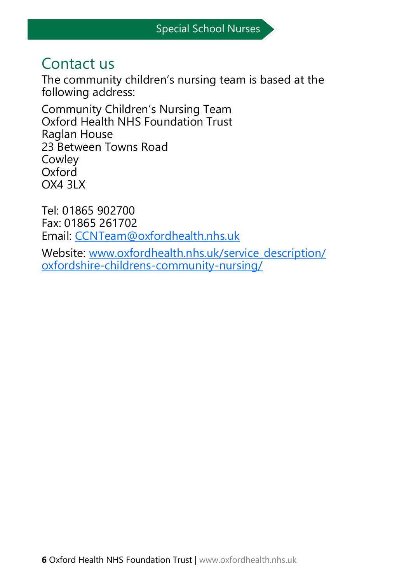## Contact us

The community children's nursing team is based at the following address:

Community Children's Nursing Team Oxford Health NHS Foundation Trust Raglan House 23 Between Towns Road Cowley Oxford OX4 3LX

Tel: 01865 902700 Fax: 01865 261702 Email: CCNTeam@oxfordhealth.nhs.uk

Website: [www.oxfordhealth.nhs.uk/service\\_description/](https://www.oxfordhealth.nhs.uk/service_description/oxfordshire-childrens-community-nursing/) oxfordshire-childrens-[community](https://www.oxfordhealth.nhs.uk/service_description/oxfordshire-childrens-community-nursing/)-nursing/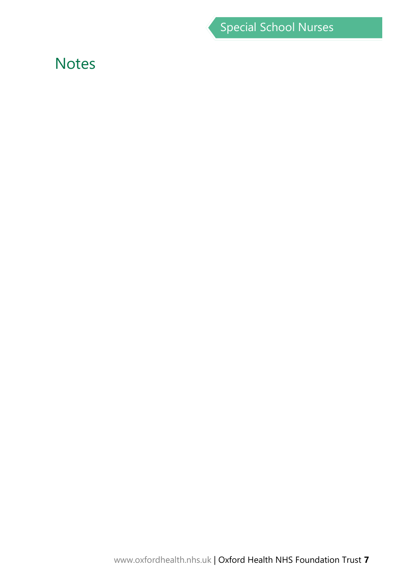Special School Nurses

#### **Notes**